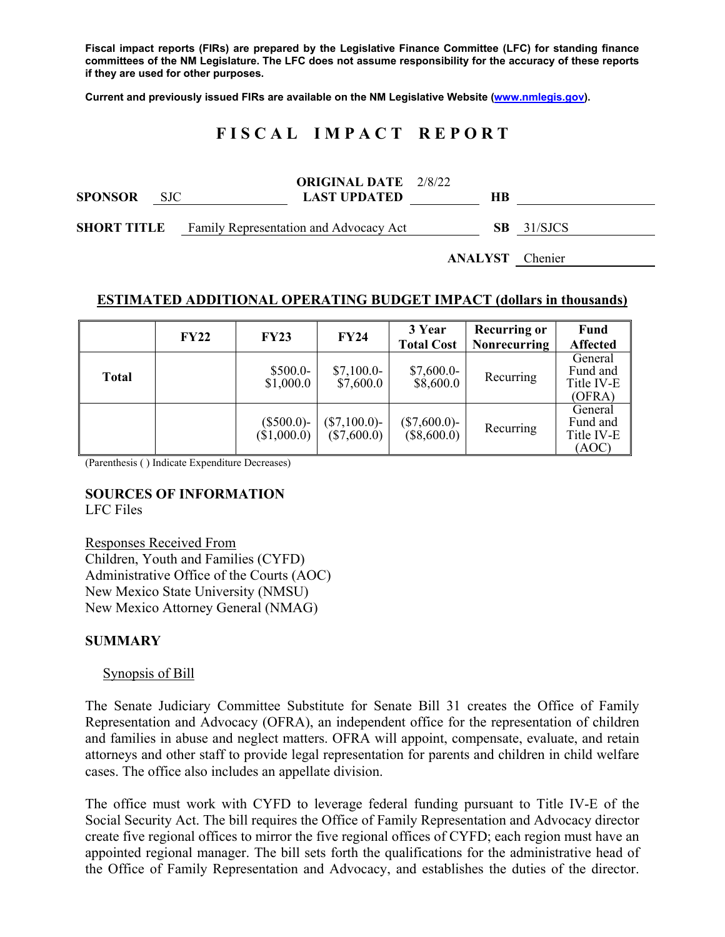**Fiscal impact reports (FIRs) are prepared by the Legislative Finance Committee (LFC) for standing finance committees of the NM Legislature. The LFC does not assume responsibility for the accuracy of these reports if they are used for other purposes.** 

**Current and previously issued FIRs are available on the NM Legislative Website (www.nmlegis.gov).** 

# **F I S C A L I M P A C T R E P O R T**

| <b>SPONSOR</b>     | <b>SJC</b> | <b>ORIGINAL DATE</b> 2/8/22<br><b>LAST UPDATED</b> | HВ  |         |
|--------------------|------------|----------------------------------------------------|-----|---------|
| <b>SHORT TITLE</b> |            | Family Representation and Advocacy Act             | SB. | 31/SJCS |

**ANALYST** Chenier

#### **ESTIMATED ADDITIONAL OPERATING BUDGET IMPACT (dollars in thousands)**

|              | <b>FY22</b> | <b>FY23</b>                 | <b>FY24</b>                      | 3 Year<br><b>Total Cost</b>      | <b>Recurring or</b><br>Nonrecurring | <b>Fund</b><br><b>Affected</b>              |
|--------------|-------------|-----------------------------|----------------------------------|----------------------------------|-------------------------------------|---------------------------------------------|
| <b>Total</b> |             | $$500.0-$<br>\$1,000.0      | $$7,100.0-$<br>\$7,600.0         | $$7,600.0-$<br>\$8,600.0         | Recurring                           | General<br>Fund and<br>Title IV-E<br>(OFRA) |
|              |             | $(\$500.0)-$<br>(\$1,000.0) | $(\$7,100.0)$ -<br>$(\$7,600.0)$ | $(\$7,600.0)$ -<br>$(\$8,600.0)$ | Recurring                           | General<br>Fund and<br>Title IV-E<br>(AOC)  |

(Parenthesis ( ) Indicate Expenditure Decreases)

#### **SOURCES OF INFORMATION**  LFC Files

Responses Received From Children, Youth and Families (CYFD) Administrative Office of the Courts (AOC) New Mexico State University (NMSU) New Mexico Attorney General (NMAG)

#### **SUMMARY**

#### Synopsis of Bill

The Senate Judiciary Committee Substitute for Senate Bill 31 creates the Office of Family Representation and Advocacy (OFRA), an independent office for the representation of children and families in abuse and neglect matters. OFRA will appoint, compensate, evaluate, and retain attorneys and other staff to provide legal representation for parents and children in child welfare cases. The office also includes an appellate division.

The office must work with CYFD to leverage federal funding pursuant to Title IV-E of the Social Security Act. The bill requires the Office of Family Representation and Advocacy director create five regional offices to mirror the five regional offices of CYFD; each region must have an appointed regional manager. The bill sets forth the qualifications for the administrative head of the Office of Family Representation and Advocacy, and establishes the duties of the director.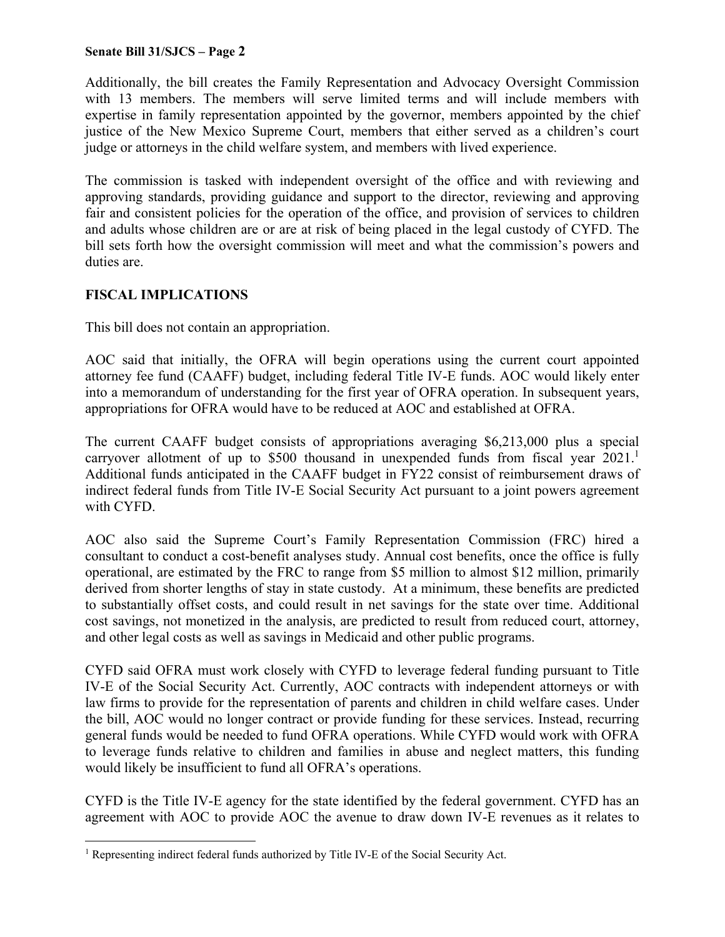#### **Senate Bill 31/SJCS – Page 2**

Additionally, the bill creates the Family Representation and Advocacy Oversight Commission with 13 members. The members will serve limited terms and will include members with expertise in family representation appointed by the governor, members appointed by the chief justice of the New Mexico Supreme Court, members that either served as a children's court judge or attorneys in the child welfare system, and members with lived experience.

The commission is tasked with independent oversight of the office and with reviewing and approving standards, providing guidance and support to the director, reviewing and approving fair and consistent policies for the operation of the office, and provision of services to children and adults whose children are or are at risk of being placed in the legal custody of CYFD. The bill sets forth how the oversight commission will meet and what the commission's powers and duties are.

# **FISCAL IMPLICATIONS**

This bill does not contain an appropriation.

AOC said that initially, the OFRA will begin operations using the current court appointed attorney fee fund (CAAFF) budget, including federal Title IV-E funds. AOC would likely enter into a memorandum of understanding for the first year of OFRA operation. In subsequent years, appropriations for OFRA would have to be reduced at AOC and established at OFRA.

The current CAAFF budget consists of appropriations averaging \$6,213,000 plus a special carryover allotment of up to \$500 thousand in unexpended funds from fiscal year  $2021$ .<sup>1</sup> Additional funds anticipated in the CAAFF budget in FY22 consist of reimbursement draws of indirect federal funds from Title IV-E Social Security Act pursuant to a joint powers agreement with CYFD.

AOC also said the Supreme Court's Family Representation Commission (FRC) hired a consultant to conduct a cost-benefit analyses study. Annual cost benefits, once the office is fully operational, are estimated by the FRC to range from \$5 million to almost \$12 million, primarily derived from shorter lengths of stay in state custody. At a minimum, these benefits are predicted to substantially offset costs, and could result in net savings for the state over time. Additional cost savings, not monetized in the analysis, are predicted to result from reduced court, attorney, and other legal costs as well as savings in Medicaid and other public programs.

CYFD said OFRA must work closely with CYFD to leverage federal funding pursuant to Title IV-E of the Social Security Act. Currently, AOC contracts with independent attorneys or with law firms to provide for the representation of parents and children in child welfare cases. Under the bill, AOC would no longer contract or provide funding for these services. Instead, recurring general funds would be needed to fund OFRA operations. While CYFD would work with OFRA to leverage funds relative to children and families in abuse and neglect matters, this funding would likely be insufficient to fund all OFRA's operations.

CYFD is the Title IV-E agency for the state identified by the federal government. CYFD has an agreement with AOC to provide AOC the avenue to draw down IV-E revenues as it relates to

 $\overline{a}$ <sup>1</sup> Representing indirect federal funds authorized by Title IV-E of the Social Security Act.